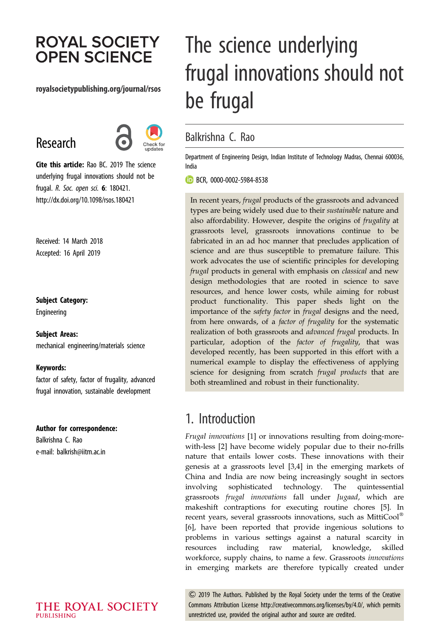# **ROYAL SOCIETY OPEN SCIENCE**

#### royalsocietypublishing.org/journal/rsos

# Research



Cite this article: Rao BC. 2019 The science underlying frugal innovations should not be frugal. R. Soc. open sci. 6: 180421. http://dx.doi.org/10.1098/rsos.180421

Received: 14 March 2018 Accepted: 16 April 2019

#### Subject Category:

Engineering

#### Subject Areas:

mechanical engineering/materials science

#### Keywords:

factor of safety, factor of frugality, advanced frugal innovation, sustainable development

#### Author for correspondence:

Balkrishna C. Rao e-mail: [balkrish@iitm.ac.in](mailto:balkrish@iitm.ac.in)

# The science underlying frugal innovations should not be frugal

#### Balkrishna C. Rao

Department of Engineering Design, Indian Institute of Technology Madras, Chennai 600036, India

**BCR, [0000-0002-5984-8538](http://orcid.org/0000-0002-5984-8538)** 

In recent years, frugal products of the grassroots and advanced types are being widely used due to their sustainable nature and also affordability. However, despite the origins of frugality at grassroots level, grassroots innovations continue to be fabricated in an ad hoc manner that precludes application of science and are thus susceptible to premature failure. This work advocates the use of scientific principles for developing frugal products in general with emphasis on *classical* and new design methodologies that are rooted in science to save resources, and hence lower costs, while aiming for robust product functionality. This paper sheds light on the importance of the *safety factor* in *frugal* designs and the need, from here onwards, of a *factor of frugality* for the systematic realization of both grassroots and advanced frugal products. In particular, adoption of the factor of frugality, that was developed recently, has been supported in this effort with a numerical example to display the effectiveness of applying science for designing from scratch *frugal products* that are both streamlined and robust in their functionality.

## 1. Introduction

Frugal innovations [[1](#page-7-0)] or innovations resulting from doing-morewith-less [\[2\]](#page-7-0) have become widely popular due to their no-frills nature that entails lower costs. These innovations with their genesis at a grassroots level [[3,4](#page-7-0)] in the emerging markets of China and India are now being increasingly sought in sectors involving sophisticated technology. The quintessential grassroots frugal innovations fall under Jugaad, which are makeshift contraptions for executing routine chores [[5](#page-7-0)]. In recent years, several grassroots innovations, such as MittiCool<sup>®</sup> [[6](#page-7-0)], have been reported that provide ingenious solutions to problems in various settings against a natural scarcity in resources including raw material, knowledge, skilled workforce, supply chains, to name a few. Grassroots innovations in emerging markets are therefore typically created under

& 2019 The Authors. Published by the Royal Society under the terms of the Creative Commons Attribution License<http://creativecommons.org/licenses/by/4.0/>, which permits unrestricted use, provided the original author and source are credited.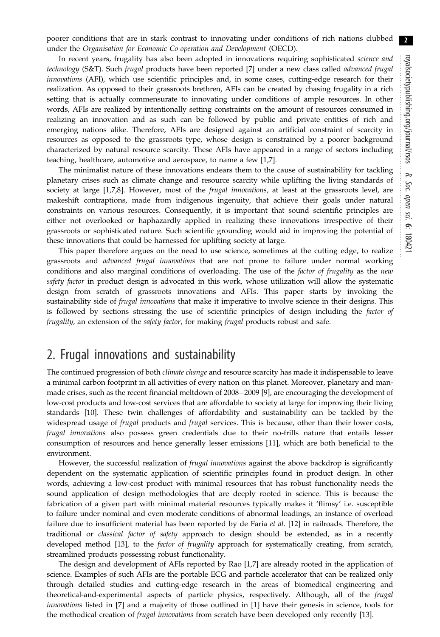2

poorer conditions that are in stark contrast to innovating under conditions of rich nations clubbed under the Organisation for Economic Co-operation and Development (OECD).

In recent years, frugality has also been adopted in innovations requiring sophisticated *science and* technology (S&T). Such frugal products have been reported [[7](#page-7-0)] under a new class called advanced frugal innovations (AFI), which use scientific principles and, in some cases, cutting-edge research for their realization. As opposed to their grassroots brethren, AFIs can be created by chasing frugality in a rich setting that is actually commensurate to innovating under conditions of ample resources. In other words, AFIs are realized by intentionally setting constraints on the amount of resources consumed in realizing an innovation and as such can be followed by public and private entities of rich and emerging nations alike. Therefore, AFIs are designed against an artificial constraint of scarcity in resources as opposed to the grassroots type, whose design is constrained by a poorer background characterized by natural resource scarcity. These AFIs have appeared in a range of sectors including teaching, healthcare, automotive and aerospace, to name a few [\[1,7](#page-7-0)].

The minimalist nature of these innovations endears them to the cause of sustainability for tackling planetary crises such as climate change and resource scarcity while uplifting the living standards of society at large [\[1,7,8](#page-7-0)]. However, most of the *frugal innovations*, at least at the grassroots level, are makeshift contraptions, made from indigenous ingenuity, that achieve their goals under natural constraints on various resources. Consequently, it is important that sound scientific principles are either not overlooked or haphazardly applied in realizing these innovations irrespective of their grassroots or sophisticated nature. Such scientific grounding would aid in improving the potential of these innovations that could be harnessed for uplifting society at large.

This paper therefore argues on the need to use science, sometimes at the cutting edge, to realize grassroots and advanced frugal innovations that are not prone to failure under normal working conditions and also marginal conditions of overloading. The use of the factor of frugality as the new safety factor in product design is advocated in this work, whose utilization will allow the systematic design from scratch of grassroots innovations and AFIs. This paper starts by invoking the sustainability side of *frugal innovations* that make it imperative to involve science in their designs. This is followed by sections stressing the use of scientific principles of design including the factor of frugality, an extension of the safety factor, for making frugal products robust and safe.

## 2. Frugal innovations and sustainability

The continued progression of both *climate change* and resource scarcity has made it indispensable to leave a minimal carbon footprint in all activities of every nation on this planet. Moreover, planetary and manmade crises, such as the recent financial meltdown of 2008 –2009 [\[9\]](#page-7-0), are encouraging the development of low-cost products and low-cost services that are affordable to society at large for improving their living standards [[10](#page-7-0)]. These twin challenges of affordability and sustainability can be tackled by the widespread usage of frugal products and frugal services. This is because, other than their lower costs, frugal innovations also possess green credentials due to their no-frills nature that entails lesser consumption of resources and hence generally lesser emissions [[11\]](#page-7-0), which are both beneficial to the environment.

However, the successful realization of frugal innovations against the above backdrop is significantly dependent on the systematic application of scientific principles found in product design. In other words, achieving a low-cost product with minimal resources that has robust functionality needs the sound application of design methodologies that are deeply rooted in science. This is because the fabrication of a given part with minimal material resources typically makes it 'flimsy' i.e. susceptible to failure under nominal and even moderate conditions of abnormal loadings, an instance of overload failure due to insufficient material has been reported by de Faria *et al.* [[12\]](#page-7-0) in railroads. Therefore, the traditional or *classical factor of safety* approach to design should be extended, as in a recently developed method [\[13](#page-7-0)], to the *factor of frugality* approach for systematically creating, from scratch, streamlined products possessing robust functionality.

The design and development of AFIs reported by Rao [[1,7\]](#page-7-0) are already rooted in the application of science. Examples of such AFIs are the portable ECG and particle accelerator that can be realized only through detailed studies and cutting-edge research in the areas of biomedical engineering and theoretical-and-experimental aspects of particle physics, respectively. Although, all of the frugal innovations listed in [\[7\]](#page-7-0) and a majority of those outlined in [[1](#page-7-0)] have their genesis in science, tools for the methodical creation of frugal innovations from scratch have been developed only recently [\[13](#page-7-0)].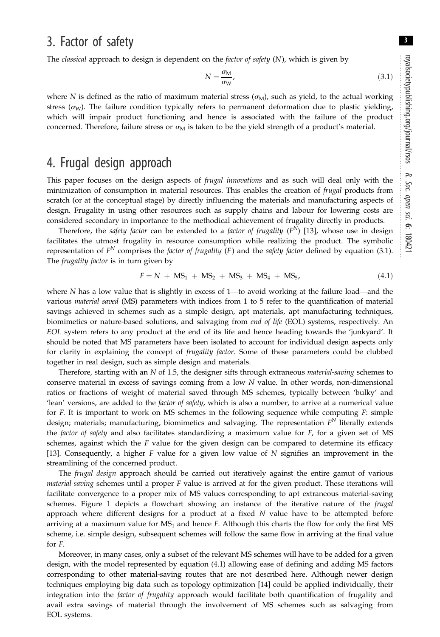## 3. Factor of safety

The *classical* approach to design is dependent on the *factor* of safety  $(N)$ , which is given by

$$
N = \frac{\sigma_{\rm M}}{\sigma_{\rm W}},\tag{3.1}
$$

where N is defined as the ratio of maximum material stress  $(\sigma_M)$ , such as yield, to the actual working stress ( $\sigma_{\rm W}$ ). The failure condition typically refers to permanent deformation due to plastic yielding, which will impair product functioning and hence is associated with the failure of the product concerned. Therefore, failure stress or  $\sigma_M$  is taken to be the yield strength of a product's material.

## 4. Frugal design approach

This paper focuses on the design aspects of *frugal innovations* and as such will deal only with the minimization of consumption in material resources. This enables the creation of *frugal* products from scratch (or at the conceptual stage) by directly influencing the materials and manufacturing aspects of design. Frugality in using other resources such as supply chains and labour for lowering costs are considered secondary in importance to the methodical achievement of frugality directly in products.

Therefore, the safety factor can be extended to a factor of frugality  $(F^N)$  [\[13](#page-7-0)], whose use in design facilitates the utmost frugality in resource consumption while realizing the product. The symbolic representation of  $F^N$  comprises the *factor of frugality* (F) and the *safety factor* defined by equation (3.1). The *frugality factor* is in turn given by

$$
F = N + MS_1 + MS_2 + MS_3 + MS_4 + MS_5, \tag{4.1}
$$

where N has a low value that is slightly in excess of 1—to avoid working at the failure load—and the various material saved (MS) parameters with indices from 1 to 5 refer to the quantification of material savings achieved in schemes such as a simple design, apt materials, apt manufacturing techniques, biomimetics or nature-based solutions, and salvaging from end of life (EOL) systems, respectively. An EOL system refers to any product at the end of its life and hence heading towards the 'junkyard'. It should be noted that MS parameters have been isolated to account for individual design aspects only for clarity in explaining the concept of *frugality factor*. Some of these parameters could be clubbed together in real design, such as simple design and materials.

Therefore, starting with an N of 1.5, the designer sifts through extraneous *material-saving* schemes to conserve material in excess of savings coming from a low N value. In other words, non-dimensional ratios or fractions of weight of material saved through MS schemes, typically between 'bulky' and 'lean' versions, are added to the *factor of safety*, which is also a number, to arrive at a numerical value for  $F$ . It is important to work on MS schemes in the following sequence while computing  $F$ : simple design; materials; manufacturing, biomimetics and salvaging. The representation  $F<sup>N</sup>$  literally extends the factor of safety and also facilitates standardizing a maximum value for  $F$ , for a given set of MS schemes, against which the  $F$  value for the given design can be compared to determine its efficacy [\[13](#page-7-0)]. Consequently, a higher F value for a given low value of N signifies an improvement in the streamlining of the concerned product.

The *frugal design* approach should be carried out iteratively against the entire gamut of various *material-saving* schemes until a proper  $F$  value is arrived at for the given product. These iterations will facilitate convergence to a proper mix of MS values corresponding to apt extraneous material-saving schemes. [Figure 1](#page-3-0) depicts a flowchart showing an instance of the iterative nature of the *frugal* approach where different designs for a product at a fixed  $N$  value have to be attempted before arriving at a maximum value for  $MS_1$  and hence F. Although this charts the flow for only the first MS scheme, i.e. simple design, subsequent schemes will follow the same flow in arriving at the final value for F.

Moreover, in many cases, only a subset of the relevant MS schemes will have to be added for a given design, with the model represented by equation (4.1) allowing ease of defining and adding MS factors corresponding to other material-saving routes that are not described here. Although newer design techniques employing big data such as topology optimization [\[14](#page-7-0)] could be applied individually, their integration into the factor of frugality approach would facilitate both quantification of frugality and avail extra savings of material through the involvement of MS schemes such as salvaging from EOL systems.

3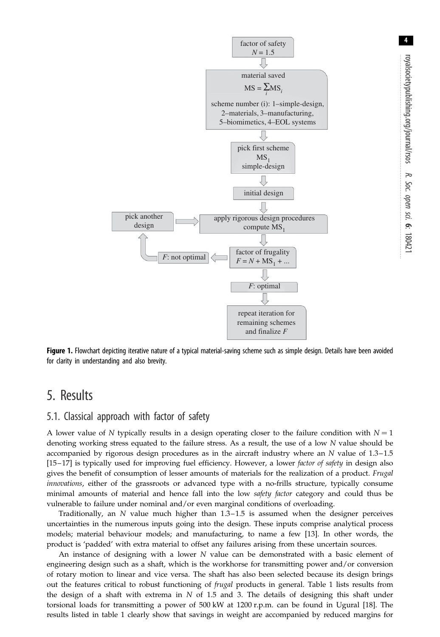<span id="page-3-0"></span>

Figure 1. Flowchart depicting iterative nature of a typical material-saving scheme such as simple design. Details have been avoided for clarity in understanding and also brevity.

## 5. Results

#### 5.1. Classical approach with factor of safety

A lower value of N typically results in a design operating closer to the failure condition with  $N = 1$ denoting working stress equated to the failure stress. As a result, the use of a low N value should be accompanied by rigorous design procedures as in the aircraft industry where an N value of 1.3–1.5 [\[15](#page-7-0)–17] is typically used for improving fuel efficiency. However, a lower factor of safety in design also gives the benefit of consumption of lesser amounts of materials for the realization of a product. Frugal innovations, either of the grassroots or advanced type with a no-frills structure, typically consume minimal amounts of material and hence fall into the low safety factor category and could thus be vulnerable to failure under nominal and/or even marginal conditions of overloading.

Traditionally, an N value much higher than 1.3–1.5 is assumed when the designer perceives uncertainties in the numerous inputs going into the design. These inputs comprise analytical process models; material behaviour models; and manufacturing, to name a few [[13\]](#page-7-0). In other words, the product is 'padded' with extra material to offset any failures arising from these uncertain sources.

An instance of designing with a lower N value can be demonstrated with a basic element of engineering design such as a shaft, which is the workhorse for transmitting power and/or conversion of rotary motion to linear and vice versa. The shaft has also been selected because its design brings out the features critical to robust functioning of *frugal* products in general. [Table 1](#page-4-0) lists results from the design of a shaft with extrema in  $N$  of 1.5 and 3. The details of designing this shaft under torsional loads for transmitting a power of 500 kW at 1200 r.p.m. can be found in Ugural [\[18](#page-7-0)]. The results listed in [table 1](#page-4-0) clearly show that savings in weight are accompanied by reduced margins for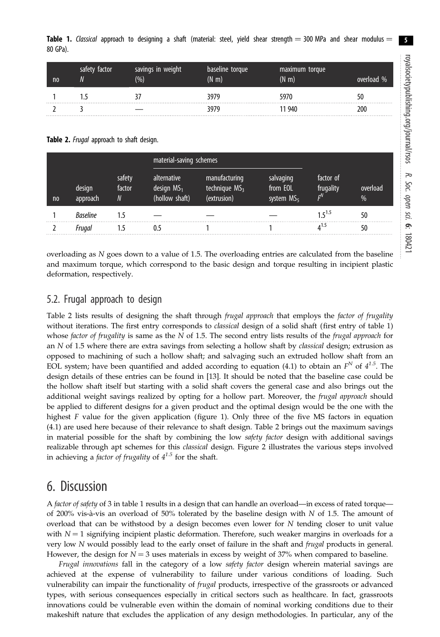<span id="page-4-0"></span>

| n <sub>0</sub> | safety factor | savings in weight<br>$(\% )$ | baseline torque<br>$(N \, \mathrm{m})$ | maximum torque<br>(N <sub>m</sub> ) | overload % |
|----------------|---------------|------------------------------|----------------------------------------|-------------------------------------|------------|
|                |               |                              | 3979                                   | 5970                                | 50         |
|                |               |                              | 3979                                   | 11 940                              | 200        |

Table 2. Frugal approach to shaft design.

|                |                    |                       |                                               | material-saving schemes                         |                                       |                                          |                           |
|----------------|--------------------|-----------------------|-----------------------------------------------|-------------------------------------------------|---------------------------------------|------------------------------------------|---------------------------|
| n <sub>0</sub> | design<br>approach | safety<br>factor<br>N | alternative<br>design $MS1$<br>(hollow shaft) | manufacturing<br>technique $MS3$<br>(extrusion) | salvaging<br>from EOL<br>system $MS5$ | factor of<br>frugality<br>г <sup>N</sup> | overload<br>$\frac{0}{6}$ |
|                | <b>Baseline</b>    | 1.5                   |                                               |                                                 |                                       | $15^{1.5}$                               | 50                        |
|                | Fruaal             |                       | 0.5                                           |                                                 |                                       | $A^{1.5}$                                | 50                        |

overloading as N goes down to a value of 1.5. The overloading entries are calculated from the baseline and maximum torque, which correspond to the basic design and torque resulting in incipient plastic deformation, respectively.

#### 5.2. Frugal approach to design

Table 2 lists results of designing the shaft through *frugal approach* that employs the *factor of frugality* without iterations. The first entry corresponds to *classical* design of a solid shaft (first entry of table 1) whose factor of frugality is same as the  $N$  of 1.5. The second entry lists results of the frugal approach for an N of 1.5 where there are extra savings from selecting a hollow shaft by classical design; extrusion as opposed to machining of such a hollow shaft; and salvaging such an extruded hollow shaft from an EOL system; have been quantified and added according to equation (4.1) to obtain an  $F^N$  of  $4^{1.5}$ . The design details of these entries can be found in [[13\]](#page-7-0). It should be noted that the baseline case could be the hollow shaft itself but starting with a solid shaft covers the general case and also brings out the additional weight savings realized by opting for a hollow part. Moreover, the frugal approach should be applied to different designs for a given product and the optimal design would be the one with the highest F value for the given application ([figure 1](#page-3-0)). Only three of the five MS factors in equation (4.1) are used here because of their relevance to shaft design. Table 2 brings out the maximum savings in material possible for the shaft by combining the low safety factor design with additional savings realizable through apt schemes for this classical design. [Figure 2](#page-5-0) illustrates the various steps involved in achieving a *factor of frugality* of  $4^{1.5}$  for the shaft.

### 6. Discussion

A factor of safety of 3 in table 1 results in a design that can handle an overload—in excess of rated torque of 200% vis-à-vis an overload of 50% tolerated by the baseline design with  $N$  of 1.5. The amount of overload that can be withstood by a design becomes even lower for  $N$  tending closer to unit value with  $N = 1$  signifying incipient plastic deformation. Therefore, such weaker margins in overloads for a very low N would possibly lead to the early onset of failure in the shaft and *frugal* products in general. However, the design for  $N = 3$  uses materials in excess by weight of 37% when compared to baseline.

Frugal innovations fall in the category of a low safety factor design wherein material savings are achieved at the expense of vulnerability to failure under various conditions of loading. Such vulnerability can impair the functionality of *frugal* products, irrespective of the grassroots or advanced types, with serious consequences especially in critical sectors such as healthcare. In fact, grassroots innovations could be vulnerable even within the domain of nominal working conditions due to their makeshift nature that excludes the application of any design methodologies. In particular, any of the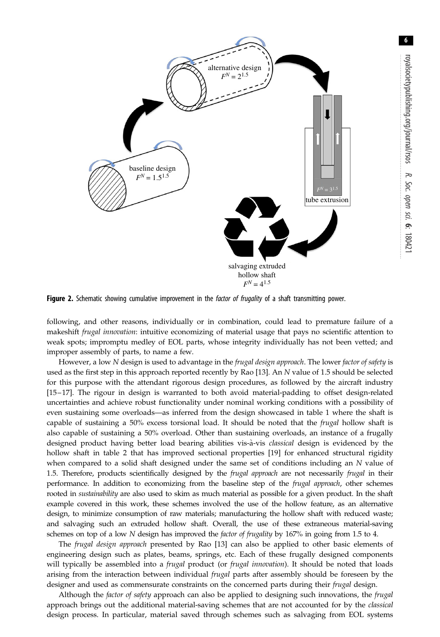<span id="page-5-0"></span>

Figure 2. Schematic showing cumulative improvement in the factor of frugality of a shaft transmitting power.

following, and other reasons, individually or in combination, could lead to premature failure of a makeshift frugal innovation: intuitive economizing of material usage that pays no scientific attention to weak spots; impromptu medley of EOL parts, whose integrity individually has not been vetted; and improper assembly of parts, to name a few.

However, a low N design is used to advantage in the frugal design approach. The lower factor of safety is used as the first step in this approach reported recently by Rao [\[13](#page-7-0)]. An N value of 1.5 should be selected for this purpose with the attendant rigorous design procedures, as followed by the aircraft industry [\[15](#page-7-0)– [17\]](#page-7-0). The rigour in design is warranted to both avoid material-padding to offset design-related uncertainties and achieve robust functionality under nominal working conditions with a possibility of even sustaining some overloads—as inferred from the design showcased in [table 1](#page-4-0) where the shaft is capable of sustaining a 50% excess torsional load. It should be noted that the *frugal* hollow shaft is also capable of sustaining a 50% overload. Other than sustaining overloads, an instance of a frugally designed product having better load bearing abilities vis-à-vis *classical* design is evidenced by the hollow shaft in [table 2](#page-4-0) that has improved sectional properties [\[19](#page-7-0)] for enhanced structural rigidity when compared to a solid shaft designed under the same set of conditions including an N value of 1.5. Therefore, products scientifically designed by the frugal approach are not necessarily frugal in their performance. In addition to economizing from the baseline step of the *frugal approach*, other schemes rooted in sustainability are also used to skim as much material as possible for a given product. In the shaft example covered in this work, these schemes involved the use of the hollow feature, as an alternative design, to minimize consumption of raw materials; manufacturing the hollow shaft with reduced waste; and salvaging such an extruded hollow shaft. Overall, the use of these extraneous material-saving schemes on top of a low N design has improved the *factor of frugality* by 167% in going from 1.5 to 4.

The *frugal design approach* presented by Rao [[13\]](#page-7-0) can also be applied to other basic elements of engineering design such as plates, beams, springs, etc. Each of these frugally designed components will typically be assembled into a *frugal* product (or *frugal innovation*). It should be noted that loads arising from the interaction between individual *frugal* parts after assembly should be foreseen by the designer and used as commensurate constraints on the concerned parts during their *frugal* design.

Although the factor of safety approach can also be applied to designing such innovations, the frugal approach brings out the additional material-saving schemes that are not accounted for by the *classical* design process. In particular, material saved through schemes such as salvaging from EOL systems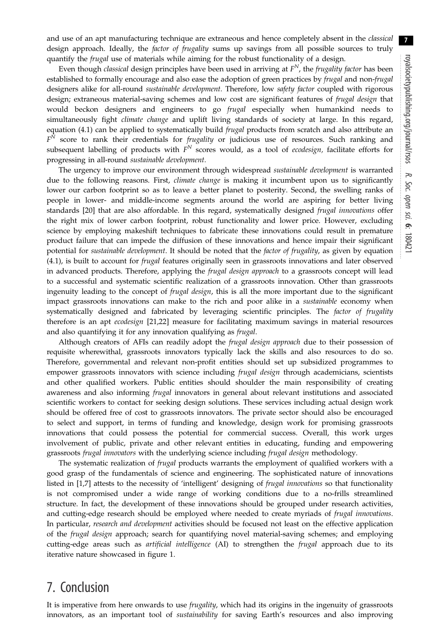7

and use of an apt manufacturing technique are extraneous and hence completely absent in the *classical* design approach. Ideally, the *factor of frugality* sums up savings from all possible sources to truly quantify the *frugal* use of materials while aiming for the robust functionality of a design.

Even though classical design principles have been used in arriving at  $F<sup>N</sup>$ , the frugality factor has been established to formally encourage and also ease the adoption of green practices by frugal and non-frugal designers alike for all-round sustainable development. Therefore, low safety factor coupled with rigorous design; extraneous material-saving schemes and low cost are significant features of frugal design that would beckon designers and engineers to go frugal especially when humankind needs to simultaneously fight climate change and uplift living standards of society at large. In this regard, equation (4.1) can be applied to systematically build *frugal* products from scratch and also attribute an  $F<sup>N</sup>$  score to rank their credentials for *frugality* or judicious use of resources. Such ranking and subsequent labelling of products with  $F<sup>N</sup>$  scores would, as a tool of ecodesign, facilitate efforts for progressing in all-round sustainable development.

The urgency to improve our environment through widespread sustainable development is warranted due to the following reasons. First, *climate change* is making it incumbent upon us to significantly lower our carbon footprint so as to leave a better planet to posterity. Second, the swelling ranks of people in lower- and middle-income segments around the world are aspiring for better living standards [[20\]](#page-7-0) that are also affordable. In this regard, systematically designed frugal innovations offer the right mix of lower carbon footprint, robust functionality and lower price. However, excluding science by employing makeshift techniques to fabricate these innovations could result in premature product failure that can impede the diffusion of these innovations and hence impair their significant potential for sustainable development. It should be noted that the factor of frugality, as given by equation (4.1), is built to account for frugal features originally seen in grassroots innovations and later observed in advanced products. Therefore, applying the *frugal design approach* to a grassroots concept will lead to a successful and systematic scientific realization of a grassroots innovation. Other than grassroots ingenuity leading to the concept of *frugal design*, this is all the more important due to the significant impact grassroots innovations can make to the rich and poor alike in a *sustainable* economy when systematically designed and fabricated by leveraging scientific principles. The factor of frugality therefore is an apt ecodesign [\[21](#page-7-0),[22\]](#page-7-0) measure for facilitating maximum savings in material resources and also quantifying it for any innovation qualifying as frugal.

Although creators of AFIs can readily adopt the *frugal design approach* due to their possession of requisite wherewithal, grassroots innovators typically lack the skills and also resources to do so. Therefore, governmental and relevant non-profit entities should set up subsidized programmes to empower grassroots innovators with science including *frugal design* through academicians, scientists and other qualified workers. Public entities should shoulder the main responsibility of creating awareness and also informing *frugal* innovators in general about relevant institutions and associated scientific workers to contact for seeking design solutions. These services including actual design work should be offered free of cost to grassroots innovators. The private sector should also be encouraged to select and support, in terms of funding and knowledge, design work for promising grassroots innovations that could possess the potential for commercial success. Overall, this work urges involvement of public, private and other relevant entities in educating, funding and empowering grassroots frugal innovators with the underlying science including frugal design methodology.

The systematic realization of *frugal* products warrants the employment of qualified workers with a good grasp of the fundamentals of science and engineering. The sophisticated nature of innovations listed in [[1](#page-7-0),[7](#page-7-0)] attests to the necessity of 'intelligent' designing of *frugal innovations* so that functionality is not compromised under a wide range of working conditions due to a no-frills streamlined structure. In fact, the development of these innovations should be grouped under research activities, and cutting-edge research should be employed where needed to create myriads of frugal innovations. In particular, research and development activities should be focused not least on the effective application of the frugal design approach; search for quantifying novel material-saving schemes; and employing cutting-edge areas such as artificial intelligence (AI) to strengthen the frugal approach due to its iterative nature showcased in [figure 1.](#page-3-0)

## 7. Conclusion

It is imperative from here onwards to use *frugality*, which had its origins in the ingenuity of grassroots innovators, as an important tool of sustainability for saving Earth's resources and also improving